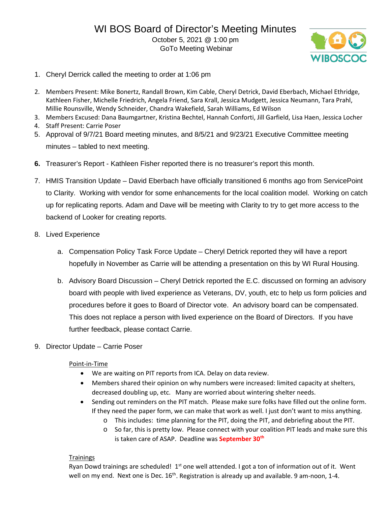GoTo Meeting Webinar



- 1. Cheryl Derrick called the meeting to order at 1:06 pm
- 2. Members Present: Mike Bonertz, Randall Brown, Kim Cable, Cheryl Detrick, David Eberbach, Michael Ethridge, Kathleen Fisher, Michelle Friedrich, Angela Friend, Sara Krall, Jessica Mudgett, Jessica Neumann, Tara Prahl, Millie Rounsville, Wendy Schneider, Chandra Wakefield, Sarah Williams, Ed Wilson
- 3. Members Excused: Dana Baumgartner, Kristina Bechtel, Hannah Conforti, Jill Garfield, Lisa Haen, Jessica Locher
- 4. Staff Present: Carrie Poser
- 5. Approval of 9/7/21 Board meeting minutes, and 8/5/21 and 9/23/21 Executive Committee meeting minutes – tabled to next meeting.
- **6.** Treasurer's Report Kathleen Fisher reported there is no treasurer's report this month.
- 7. HMIS Transition Update David Eberbach have officially transitioned 6 months ago from ServicePoint to Clarity. Working with vendor for some enhancements for the local coalition model. Working on catch up for replicating reports. Adam and Dave will be meeting with Clarity to try to get more access to the backend of Looker for creating reports.
- 8. Lived Experience
	- a. Compensation Policy Task Force Update Cheryl Detrick reported they will have a report hopefully in November as Carrie will be attending a presentation on this by WI Rural Housing.
	- b. Advisory Board Discussion Cheryl Detrick reported the E.C. discussed on forming an advisory board with people with lived experience as Veterans, DV, youth, etc to help us form policies and procedures before it goes to Board of Director vote. An advisory board can be compensated. This does not replace a person with lived experience on the Board of Directors. If you have further feedback, please contact Carrie.
- 9. Director Update Carrie Poser

# Point-in-Time

- We are waiting on PIT reports from ICA. Delay on data review.
- Members shared their opinion on why numbers were increased: limited capacity at shelters, decreased doubling up, etc. Many are worried about wintering shelter needs.
- Sending out reminders on the PIT match. Please make sure folks have filled out the online form. If they need the paper form, we can make that work as well. I just don't want to miss anything.
	- o This includes: time planning for the PIT, doing the PIT, and debriefing about the PIT.
	- o So far, this is pretty low. Please connect with your coalition PIT leads and make sure this is taken care of ASAP. Deadline was **September 30th**

# **Trainings**

Ryan Dowd trainings are scheduled!  $1<sup>st</sup>$  one well attended. I got a ton of information out of it. Went well on my end. Next one is Dec.  $16<sup>th</sup>$ . Registration is already up and available. 9 am-noon, 1-4.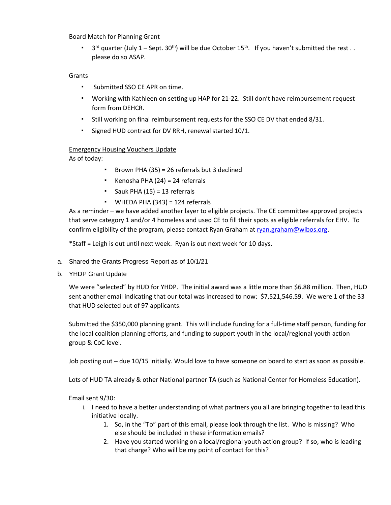### Board Match for Planning Grant

**•**  $3^{rd}$  quarter (July 1 – Sept.  $30^{th}$ ) will be due October 15<sup>th</sup>. If you haven't submitted the rest.. please do so ASAP.

## Grants

- Submitted SSO CE APR on time.
- Working with Kathleen on setting up HAP for 21-22. Still don't have reimbursement request form from DEHCR.
- Still working on final reimbursement requests for the SSO CE DV that ended 8/31.
- Signed HUD contract for DV RRH, renewal started 10/1.

### Emergency Housing Vouchers Update

As of today:

- Brown PHA (35) = 26 referrals but 3 declined
- Kenosha PHA (24) = 24 referrals
- Sauk PHA (15) = 13 referrals
- WHEDA PHA (343) = 124 referrals

As a reminder – we have added another layer to eligible projects. The CE committee approved projects that serve category 1 and/or 4 homeless and used CE to fill their spots as eligible referrals for EHV. To confirm eligibility of the program, please contact Ryan Graham at [ryan.graham@wibos.org.](mailto:ryan.graham@wibos.org)

\*Staff = Leigh is out until next week. Ryan is out next week for 10 days.

- a. Shared the Grants Progress Report as of 10/1/21
- b. YHDP Grant Update

We were "selected" by HUD for YHDP. The initial award was a little more than \$6.88 million. Then, HUD sent another email indicating that our total was increased to now: \$7,521,546.59. We were 1 of the 33 that HUD selected out of 97 applicants.

Submitted the \$350,000 planning grant. This will include funding for a full-time staff person, funding for the local coalition planning efforts, and funding to support youth in the local/regional youth action group & CoC level.

Job posting out – due 10/15 initially. Would love to have someone on board to start as soon as possible.

Lots of HUD TA already & other National partner TA (such as National Center for Homeless Education).

Email sent 9/30:

- i. I need to have a better understanding of what partners you all are bringing together to lead this initiative locally.
	- 1. So, in the "To" part of this email, please look through the list. Who is missing? Who else should be included in these information emails?
	- 2. Have you started working on a local/regional youth action group? If so, who is leading that charge? Who will be my point of contact for this?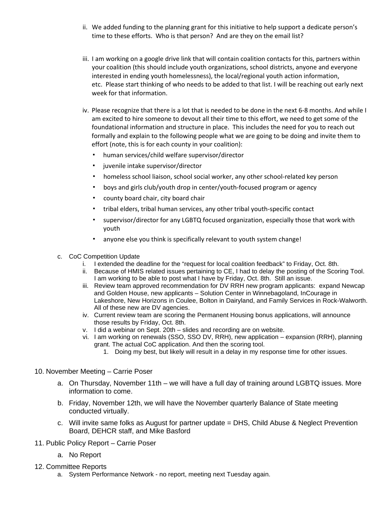- ii. We added funding to the planning grant for this initiative to help support a dedicate person's time to these efforts. Who is that person? And are they on the email list?
- iii. I am working on a google drive link that will contain coalition contacts for this, partners within your coalition (this should include youth organizations, school districts, anyone and everyone interested in ending youth homelessness), the local/regional youth action information, etc. Please start thinking of who needs to be added to that list. I will be reaching out early next week for that information.
- iv. Please recognize that there is a lot that is needed to be done in the next 6-8 months. And while I am excited to hire someone to devout all their time to this effort, we need to get some of the foundational information and structure in place. This includes the need for you to reach out formally and explain to the following people what we are going to be doing and invite them to effort (note, this is for each county in your coalition):
	- human services/child welfare supervisor/director
	- juvenile intake supervisor/director
	- homeless school liaison, school social worker, any other school-related key person
	- boys and girls club/youth drop in center/youth-focused program or agency
	- county board chair, city board chair
	- tribal elders, tribal human services, any other tribal youth-specific contact
	- supervisor/director for any LGBTQ focused organization, especially those that work with youth
	- anyone else you think is specifically relevant to youth system change!
- c. CoC Competition Update
	- i. I extended the deadline for the "request for local coalition feedback" to Friday, Oct. 8th.
	- ii. Because of HMIS related issues pertaining to CE, I had to delay the posting of the Scoring Tool. I am working to be able to post what I have by Friday, Oct. 8th. Still an issue.
	- iii. Review team approved recommendation for DV RRH new program applicants: expand Newcap and Golden House, new applicants – Solution Center in Winnebagoland, InCourage in Lakeshore, New Horizons in Coulee, Bolton in Dairyland, and Family Services in Rock-Walworth. All of these new are DV agencies.
	- iv. Current review team are scoring the Permanent Housing bonus applications, will announce those results by Friday, Oct. 8th.
	- v. I did a webinar on Sept. 20th slides and recording are on website.
	- vi. I am working on renewals (SSO, SSO DV, RRH), new application expansion (RRH), planning grant. The actual CoC application. And then the scoring tool.
		- 1. Doing my best, but likely will result in a delay in my response time for other issues.

### 10. November Meeting – Carrie Poser

- a. On Thursday, November 11th we will have a full day of training around LGBTQ issues. More information to come.
- b. Friday, November 12th, we will have the November quarterly Balance of State meeting conducted virtually.
- c. Will invite same folks as August for partner update = DHS, Child Abuse & Neglect Prevention Board, DEHCR staff, and Mike Basford
- 11. Public Policy Report Carrie Poser
	- a. No Report
- 12. Committee Reports
	- a. System Performance Network no report, meeting next Tuesday again.